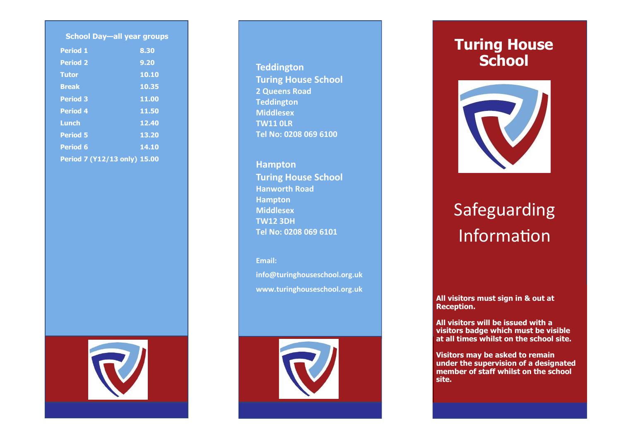| <b>School Day-all year groups</b> |       |
|-----------------------------------|-------|
| <b>Period 1</b>                   | 8.30  |
| <b>Period 2</b>                   | 9.20  |
| <b>Tutor</b>                      | 10.10 |
| <b>Break</b>                      | 10.35 |
| <b>Period 3</b>                   | 11.00 |
| <b>Period 4</b>                   | 11.50 |
| Lunch                             | 12.40 |
| <b>Period 5</b>                   | 13.20 |
| <b>Period 6</b>                   | 14.10 |
| Period 7 (Y12/13 only) 15.00      |       |



### **Teddington Turing House School 2 Queens Road Teddington Middlesex TW11 0LR Tel No: 0208 069 6100**

**Hampton Turing House School Hanworth Road Hampton Middlesex TW12 3DH Tel No: 0208 069 6101**

**Email:** 

**info@turinghouseschool.org.uk www.turinghouseschool.org.uk**



## **Turing House School**



# Safeguarding Information

**All visitors must sign in & out at Reception.**

**All visitors will be issued with a visitors badge which must be visible at all times whilst on the school site.**

**Visitors may be asked to remain under the supervision of a designated member of staff whilst on the school site.**